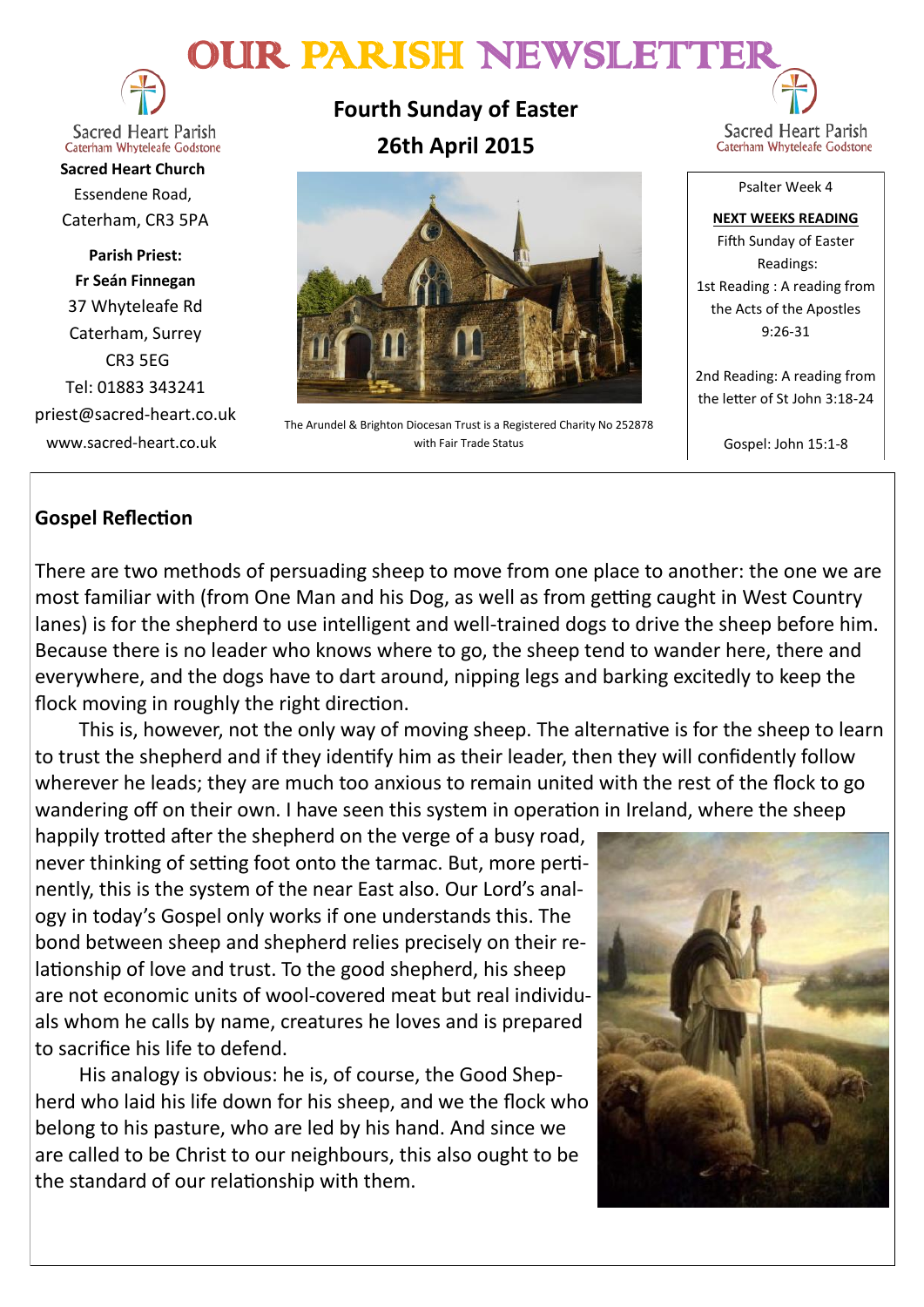# OUR PARISH NEWSLETTE



**Sacred Heart Parish** Caterham Whyteleafe Godstone

**Sacred Heart Church** Essendene Road, Caterham, CR3 5PA

**Parish Priest: Fr Seán Finnegan** 37 Whyteleafe Rd Caterham, Surrey CR3 5EG Tel: 01883 343241 priest@sacred-heart.co.uk www.sacred-heart.co.uk

**Fourth Sunday of Easter 26th April 2015**



The Arundel & Brighton Diocesan Trust is a Registered Charity No 252878 with Fair Trade Status

Sacred Heart Parish Caterham Whyteleafe Godstone

Psalter Week 4

**NEXT WEEKS READING** Fifth Sunday of Easter Readings: 1st Reading : A reading from the Acts of the Apostles 9:26-31

2nd Reading: A reading from the letter of St John 3:18-24

Gospel: John 15:1-8

# **Gospel Reflection**

There are two methods of persuading sheep to move from one place to another: the one we are most familiar with (from One Man and his Dog, as well as from getting caught in West Country lanes) is for the shepherd to use intelligent and well-trained dogs to drive the sheep before him. Because there is no leader who knows where to go, the sheep tend to wander here, there and everywhere, and the dogs have to dart around, nipping legs and barking excitedly to keep the flock moving in roughly the right direction.

This is, however, not the only way of moving sheep. The alternative is for the sheep to learn to trust the shepherd and if they identify him as their leader, then they will confidently follow wherever he leads; they are much too anxious to remain united with the rest of the flock to go wandering off on their own. I have seen this system in operation in Ireland, where the sheep

happily trotted after the shepherd on the verge of a busy road, never thinking of setting foot onto the tarmac. But, more pertinently, this is the system of the near East also. Our Lord's analogy in today's Gospel only works if one understands this. The bond between sheep and shepherd relies precisely on their relationship of love and trust. To the good shepherd, his sheep are not economic units of wool-covered meat but real individuals whom he calls by name, creatures he loves and is prepared to sacrifice his life to defend.

His analogy is obvious: he is, of course, the Good Shepherd who laid his life down for his sheep, and we the flock who belong to his pasture, who are led by his hand. And since we are called to be Christ to our neighbours, this also ought to be the standard of our relationship with them.

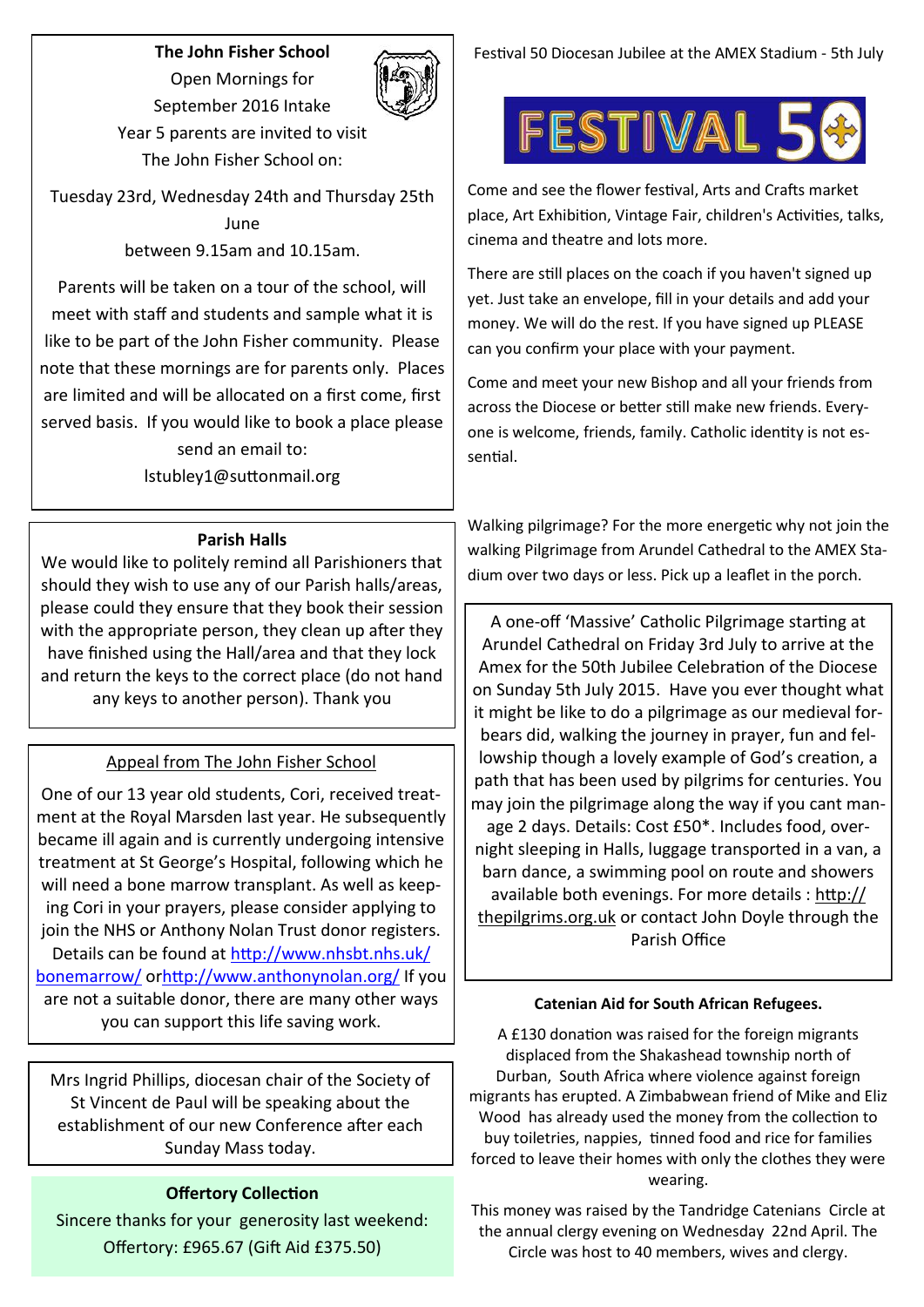## **The John Fisher School** Open Mornings for



September 2016 Intake Year 5 parents are invited to visit The John Fisher School on:

Tuesday 23rd, Wednesday 24th and Thursday 25th June between 9.15am and 10.15am.

Parents will be taken on a tour of the school, will meet with staff and students and sample what it is like to be part of the John Fisher community. Please note that these mornings are for parents only. Places are limited and will be allocated on a first come, first served basis. If you would like to book a place please send an email to:

lstubley1@suttonmail.org

### **Parish Halls**

We would like to politely remind all Parishioners that should they wish to use any of our Parish halls/areas, please could they ensure that they book their session with the appropriate person, they clean up after they have finished using the Hall/area and that they lock and return the keys to the correct place (do not hand any keys to another person). Thank you

# Appeal from The John Fisher School

One of our 13 year old students, Cori, received treatment at the Royal Marsden last year. He subsequently became ill again and is currently undergoing intensive treatment at St George's Hospital, following which he will need a bone marrow transplant. As well as keeping Cori in your prayers, please consider applying to join the NHS or Anthony Nolan Trust donor registers. Details can be found at [http://www.nhsbt.nhs.uk/](http://www.nhsbt.nhs.uk/bonemarrow/) [bonemarrow/](http://www.nhsbt.nhs.uk/bonemarrow/) or<http://www.anthonynolan.org/> If you are not a suitable donor, there are many other ways you can support this life saving work.

Mrs Ingrid Phillips, diocesan chair of the Society of St Vincent de Paul will be speaking about the establishment of our new Conference after each Sunday Mass today.

## **Offertory Collection**

Sincere thanks for your generosity last weekend: Offertory: £965.67 (Gift Aid £375.50)

Festival 50 Diocesan Jubilee at the AMEX Stadium - 5th July



Come and see the flower festival, Arts and Crafts market place, Art Exhibition, Vintage Fair, children's Activities, talks, cinema and theatre and lots more.

There are still places on the coach if you haven't signed up yet. Just take an envelope, fill in your details and add your money. We will do the rest. If you have signed up PLEASE can you confirm your place with your payment.

Come and meet your new Bishop and all your friends from across the Diocese or better still make new friends. Everyone is welcome, friends, family. Catholic identity is not essential.

Walking pilgrimage? For the more energetic why not join the walking Pilgrimage from Arundel Cathedral to the AMEX Stadium over two days or less. Pick up a leaflet in the porch.

A one-off 'Massive' Catholic Pilgrimage starting at Arundel Cathedral on Friday 3rd July to arrive at the Amex for the 50th Jubilee Celebration of the Diocese on Sunday 5th July 2015. Have you ever thought what it might be like to do a pilgrimage as our medieval forbears did, walking the journey in prayer, fun and fellowship though a lovely example of God's creation, a path that has been used by pilgrims for centuries. You may join the pilgrimage along the way if you cant manage 2 days. Details: Cost £50\*. Includes food, overnight sleeping in Halls, luggage transported in a van, a barn dance, a swimming pool on route and showers available both evenings. For more details : [http://](http://thepilgrims.org.uk/) [thepilgrims.org.uk](http://thepilgrims.org.uk/) or contact John Doyle through the Parish Office

#### **Catenian Aid for South African Refugees.**

A £130 donation was raised for the foreign migrants displaced from the Shakashead township north of Durban, South Africa where violence against foreign migrants has erupted. A Zimbabwean friend of Mike and Eliz Wood has already used the money from the collection to buy toiletries, nappies, tinned food and rice for families forced to leave their homes with only the clothes they were wearing.

This money was raised by the Tandridge Catenians Circle at the annual clergy evening on Wednesday 22nd April. The Circle was host to 40 members, wives and clergy.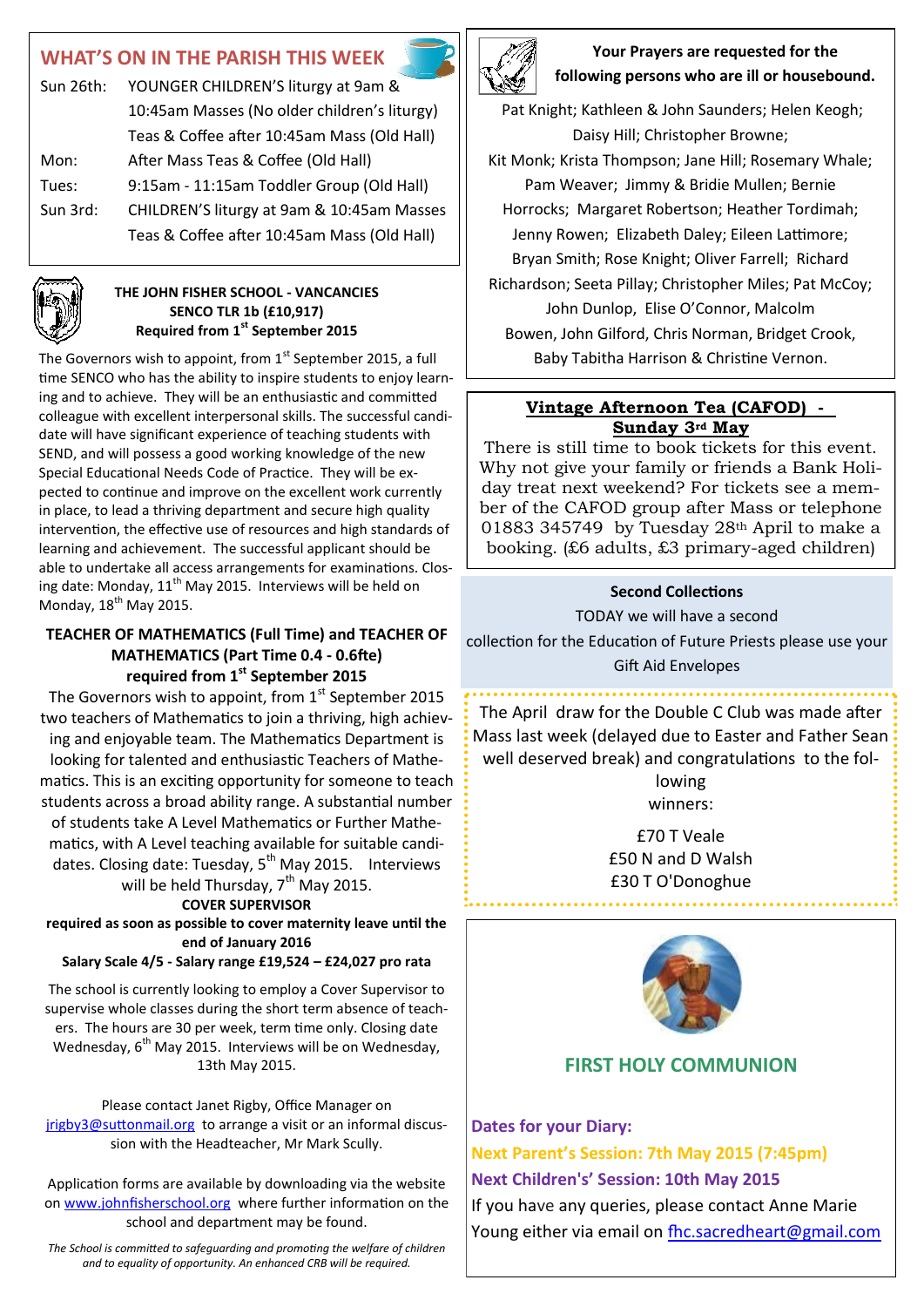# **WHAT'S ON IN THE PARISH THIS WEEK**

| Sun 26th: | YOUNGER CHILDREN'S liturgy at 9am &          |
|-----------|----------------------------------------------|
|           | 10:45am Masses (No older children's liturgy) |
|           | Teas & Coffee after 10:45am Mass (Old Hall)  |
| Mon:      | After Mass Teas & Coffee (Old Hall)          |
| Tues:     | 9:15am - 11:15am Toddler Group (Old Hall)    |
| Sun 3rd:  | CHILDREN'S liturgy at 9am & 10:45am Masses   |
|           | Teas & Coffee after 10:45am Mass (Old Hall)  |
|           |                                              |

#### **THE JOHN FISHER SCHOOL - VANCANCIES SENCO TLR 1b (£10,917) Required from 1st September 2015**

The Governors wish to appoint, from  $1<sup>st</sup>$  September 2015, a full time SENCO who has the ability to inspire students to enjoy learning and to achieve. They will be an enthusiastic and committed colleague with excellent interpersonal skills. The successful candidate will have significant experience of teaching students with SEND, and will possess a good working knowledge of the new Special Educational Needs Code of Practice. They will be expected to continue and improve on the excellent work currently in place, to lead a thriving department and secure high quality intervention, the effective use of resources and high standards of learning and achievement. The successful applicant should be able to undertake all access arrangements for examinations. Closing date: Monday,  $11<sup>th</sup>$  May 2015. Interviews will be held on Monday,  $18^{th}$  May 2015.

### **TEACHER OF MATHEMATICS (Full Time) and TEACHER OF MATHEMATICS (Part Time 0.4 - 0.6fte) required from 1st September 2015**

The Governors wish to appoint, from  $1<sup>st</sup>$  September 2015 two teachers of Mathematics to join a thriving, high achieving and enjoyable team. The Mathematics Department is looking for talented and enthusiastic Teachers of Mathematics. This is an exciting opportunity for someone to teach students across a broad ability range. A substantial number of students take A Level Mathematics or Further Mathematics, with A Level teaching available for suitable candidates. Closing date: Tuesday,  $5^{th}$  May 2015. Interviews will be held Thursday, 7<sup>th</sup> May 2015.

#### **COVER SUPERVISOR**

**required as soon as possible to cover maternity leave until the end of January 2016**

**Salary Scale 4/5 - Salary range £19,524 – £24,027 pro rata**

The school is currently looking to employ a Cover Supervisor to supervise whole classes during the short term absence of teachers. The hours are 30 per week, term time only. Closing date Wednesday,  $6^{th}$  May 2015. Interviews will be on Wednesday, 13th May 2015.

Please contact Janet Rigby, Office Manager on [jrigby3@suttonmail.org](mailto:jrigby3@suttonmail.org) to arrange a visit or an informal discussion with the Headteacher, Mr Mark Scully.

Application forms are available by downloading via the website on [www.johnfisherschool.org](http://www.johnfisherschool.org) where further information on the school and department may be found.

*The School is committed to safeguarding and promoting the welfare of children and to equality of opportunity. An enhanced CRB will be required.*



**Your Prayers are requested for the following persons who are ill or housebound.** 

Pat Knight; Kathleen & John Saunders; Helen Keogh; Daisy Hill; Christopher Browne; Kit Monk; Krista Thompson; Jane Hill; Rosemary Whale; Pam Weaver; Jimmy & Bridie Mullen; Bernie Horrocks; Margaret Robertson; Heather Tordimah; Jenny Rowen; Elizabeth Daley; Eileen Lattimore; Bryan Smith; Rose Knight; Oliver Farrell; Richard Richardson; Seeta Pillay; Christopher Miles; Pat McCoy; John Dunlop, Elise O'Connor, Malcolm Bowen, John Gilford, Chris Norman, Bridget Crook, Baby Tabitha Harrison & Christine Vernon.

## **Vintage Afternoon Tea (CAFOD) - Sunday 3rd May**

There is still time to book tickets for this event. Why not give your family or friends a Bank Holiday treat next weekend? For tickets see a member of the CAFOD group after Mass or telephone 01883 345749 by Tuesday 28th April to make a booking. (£6 adults, £3 primary-aged children)

#### **Second Collections**

TODAY we will have a second

collection for the Education of Future Priests please use your Gift Aid Envelopes

The April draw for the Double C Club was made after Mass last week (delayed due to Easter and Father Sean well deserved break) and congratulations to the following

winners:

£70 T Veale £50 N and D Walsh £30 T O'Donoghue



# **FIRST HOLY COMMUNION**

**Dates for your Diary:**

**Next Parent's Session: 7th May 2015 (7:45pm) Next Children's' Session: 10th May 2015** If you have any queries, please contact Anne Marie Young either via email on fhc.sacredheart@gmail.com